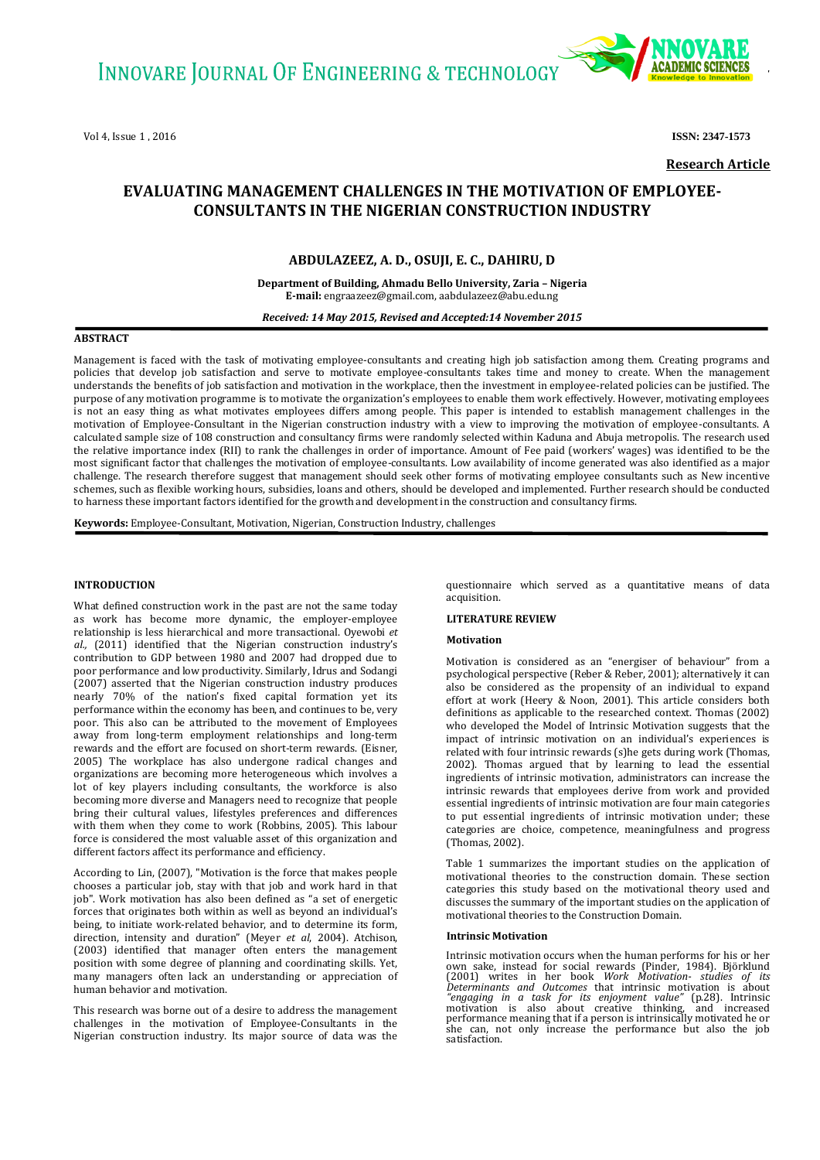

**Research Article**

# **EVALUATING MANAGEMENT CHALLENGES IN THE MOTIVATION OF EMPLOYEE-CONSULTANTS IN THE NIGERIAN CONSTRUCTION INDUSTRY**

# **ABDULAZEEZ, A. D., OSUJI, E. C., DAHIRU, D**

**Department of Building, Ahmadu Bello University, Zaria – Nigeria E-mail:** [engraazeez@gmail.com,](mailto:engraazeez@gmail.com) aabdulazeez@abu.edu.ng

*Received: 14 May 2015, Revised and Accepted:14 November 2015*

# **ABSTRACT**

Management is faced with the task of motivating employee-consultants and creating high job satisfaction among them. Creating programs and policies that develop job satisfaction and serve to motivate employee-consultants takes time and money to create. When the management understands the benefits of job satisfaction and motivation in the workplace, then the investment in employee-related policies can be justified. The purpose of any motivation programme is to motivate the organization's employees to enable them work effectively. However, motivating employees is not an easy thing as what motivates employees differs among people. This paper is intended to establish management challenges in the motivation of Employee-Consultant in the Nigerian construction industry with a view to improving the motivation of employee-consultants. A calculated sample size of 108 construction and consultancy firms were randomly selected within Kaduna and Abuja metropolis. The research used the relative importance index (RII) to rank the challenges in order of importance. Amount of Fee paid (workers' wages) was identified to be the most significant factor that challenges the motivation of employee-consultants. Low availability of income generated was also identified as a major challenge. The research therefore suggest that management should seek other forms of motivating employee consultants such as New incentive schemes, such as flexible working hours, subsidies, loans and others, should be developed and implemented. Further research should be conducted to harness these important factors identified for the growth and development in the construction and consultancy firms.

**Keywords:** Employee-Consultant, Motivation, Nigerian, Construction Industry, challenges

# **INTRODUCTION**

What defined construction work in the past are not the same today as work has become more dynamic, the employer-employee relationship is less hierarchical and more transactional. Oyewobi *et al.,* (2011) identified that the Nigerian construction industry's contribution to GDP between 1980 and 2007 had dropped due to poor performance and low productivity. Similarly, Idrus and Sodangi (2007) asserted that the Nigerian construction industry produces nearly 70% of the nation's fixed capital formation yet its performance within the economy has been, and continues to be, very poor. This also can be attributed to the movement of Employees away from long-term employment relationships and long-term rewards and the effort are focused on short-term rewards. (Eisner, 2005) The workplace has also undergone radical changes and organizations are becoming more heterogeneous which involves a lot of key players including consultants, the workforce is also becoming more diverse and Managers need to recognize that people bring their cultural values, lifestyles preferences and differences with them when they come to work (Robbins, 2005). This labour force is considered the most valuable asset of this organization and different factors affect its performance and efficiency.

According to Lin, (2007), "Motivation is the force that makes people chooses a particular job, stay with that job and work hard in that job". Work motivation has also been defined as "a set of energetic forces that originates both within as well as beyond an individual's being, to initiate work-related behavior, and to determine its form, direction, intensity and duration" (Meyer *et al*, 2004). Atchison, (2003) identified that manager often enters the management position with some degree of planning and coordinating skills. Yet, many managers often lack an understanding or appreciation of human behavior and motivation.

This research was borne out of a desire to address the management challenges in the motivation of Employee-Consultants in the Nigerian construction industry. Its major source of data was the

questionnaire which served as a quantitative means of data acquisition.

## **LITERATURE REVIEW**

## **Motivation**

Motivation is considered as an "energiser of behaviour" from a psychological perspective (Reber & Reber, 2001); alternatively it can also be considered as the propensity of an individual to expand effort at work (Heery & Noon, 2001). This article considers both definitions as applicable to the researched context. Thomas (2002) who developed the Model of Intrinsic Motivation suggests that the impact of intrinsic motivation on an individual's experiences is related with four intrinsic rewards (s)he gets during work (Thomas, 2002). Thomas argued that by learning to lead the essential ingredients of intrinsic motivation, administrators can increase the intrinsic rewards that employees derive from work and provided essential ingredients of intrinsic motivation are four main categories to put essential ingredients of intrinsic motivation under; these categories are choice, competence, meaningfulness and progress (Thomas, 2002).

Table 1 summarizes the important studies on the application of motivational theories to the construction domain. These section categories this study based on the motivational theory used and discusses the summary of the important studies on the application of motivational theories to the Construction Domain.

#### **Intrinsic Motivation**

Intrinsic motivation occurs when the human performs for his or her own sake, instead for social rewards (Pinder, 1984). Björklund (2001) writes in her book *Work Motivation- studies of its Determinants and Outcomes* that intrinsic motivation is about *"engaging in a task for its enjoyment* she can, not only increase the performance but also the job satisfaction.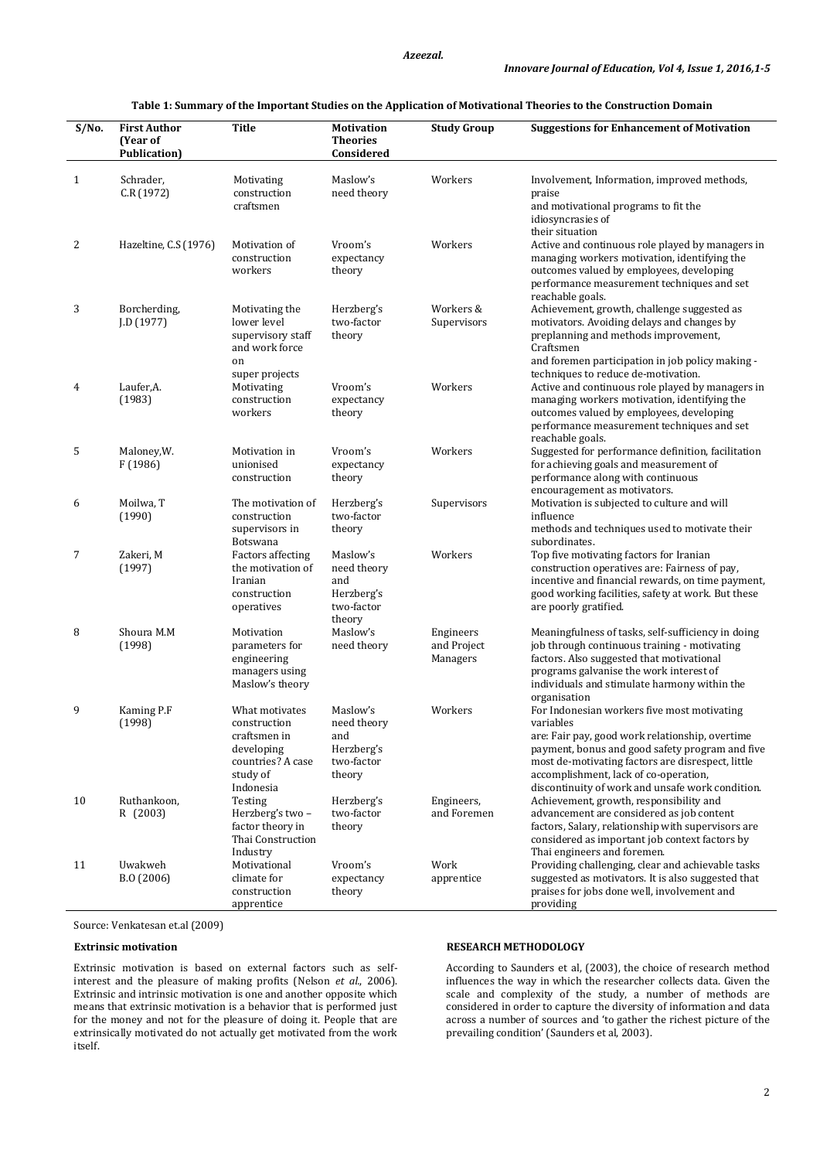# **Table 1: Summary of the Important Studies on the Application of Motivational Theories to the Construction Domain**

| S/No.        | <b>First Author</b><br>(Year of<br><b>Publication</b> ) | <b>Title</b>                                                                                               | <b>Motivation</b><br><b>Theories</b><br>Considered                   | <b>Study Group</b>                   | <b>Suggestions for Enhancement of Motivation</b>                                                                                                                                                                                                                                                                 |
|--------------|---------------------------------------------------------|------------------------------------------------------------------------------------------------------------|----------------------------------------------------------------------|--------------------------------------|------------------------------------------------------------------------------------------------------------------------------------------------------------------------------------------------------------------------------------------------------------------------------------------------------------------|
| $\mathbf{1}$ | Schrader,<br>C.R (1972)                                 | Motivating<br>construction<br>craftsmen                                                                    | Maslow's<br>need theory                                              | Workers                              | Involvement, Information, improved methods,<br>praise<br>and motivational programs to fit the<br>idiosyncrasies of                                                                                                                                                                                               |
| 2            | Hazeltine, C.S (1976)                                   | Motivation of<br>construction<br>workers                                                                   | Vroom's<br>expectancy<br>theory                                      | Workers                              | their situation<br>Active and continuous role played by managers in<br>managing workers motivation, identifying the<br>outcomes valued by employees, developing<br>performance measurement techniques and set<br>reachable goals.                                                                                |
| 3            | Borcherding,<br>J.D (1977)                              | Motivating the<br>lower level<br>supervisory staff<br>and work force<br>on<br>super projects               | Herzberg's<br>two-factor<br>theory                                   | Workers &<br>Supervisors             | Achievement, growth, challenge suggested as<br>motivators. Avoiding delays and changes by<br>preplanning and methods improvement,<br>Craftsmen<br>and foremen participation in job policy making -<br>techniques to reduce de-motivation.                                                                        |
| 4            | Laufer,A.<br>(1983)                                     | Motivating<br>construction<br>workers                                                                      | Vroom's<br>expectancy<br>theory                                      | Workers                              | Active and continuous role played by managers in<br>managing workers motivation, identifying the<br>outcomes valued by employees, developing<br>performance measurement techniques and set<br>reachable goals.                                                                                                   |
| 5            | Maloney, W.<br>F (1986)                                 | Motivation in<br>unionised<br>construction                                                                 | Vroom's<br>expectancy<br>theory                                      | Workers                              | Suggested for performance definition, facilitation<br>for achieving goals and measurement of<br>performance along with continuous<br>encouragement as motivators.                                                                                                                                                |
| 6            | Moilwa, T<br>(1990)                                     | The motivation of<br>construction<br>supervisors in<br>Botswana                                            | Herzberg's<br>two-factor<br>theory                                   | Supervisors                          | Motivation is subjected to culture and will<br>influence<br>methods and techniques used to motivate their<br>subordinates.                                                                                                                                                                                       |
| 7            | Zakeri, M<br>(1997)                                     | <b>Factors affecting</b><br>the motivation of<br>Iranian<br>construction<br>operatives                     | Maslow's<br>need theory<br>and<br>Herzberg's<br>two-factor<br>theory | Workers                              | Top five motivating factors for Iranian<br>construction operatives are: Fairness of pay,<br>incentive and financial rewards, on time payment,<br>good working facilities, safety at work. But these<br>are poorly gratified.                                                                                     |
| 8            | Shoura M.M<br>(1998)                                    | Motivation<br>parameters for<br>engineering<br>managers using<br>Maslow's theory                           | Maslow's<br>need theory                                              | Engineers<br>and Project<br>Managers | Meaningfulness of tasks, self-sufficiency in doing<br>job through continuous training - motivating<br>factors. Also suggested that motivational<br>programs galvanise the work interest of<br>individuals and stimulate harmony within the<br>organisation                                                       |
| 9            | Kaming P.F<br>(1998)                                    | What motivates<br>construction<br>craftsmen in<br>developing<br>countries? A case<br>study of<br>Indonesia | Maslow's<br>need theory<br>and<br>Herzberg's<br>two-factor<br>theory | Workers                              | For Indonesian workers five most motivating<br>variables<br>are: Fair pay, good work relationship, overtime<br>payment, bonus and good safety program and five<br>most de-motivating factors are disrespect, little<br>accomplishment, lack of co-operation,<br>discontinuity of work and unsafe work condition. |
| 10           | Ruthankoon,<br>R (2003)                                 | Testing<br>Herzberg's two-<br>factor theory in<br>Thai Construction<br>Industry                            | Herzberg's<br>two-factor<br>theory                                   | Engineers,<br>and Foremen            | Achievement, growth, responsibility and<br>advancement are considered as job content<br>factors, Salary, relationship with supervisors are<br>considered as important job context factors by<br>Thai engineers and foremen.                                                                                      |
| 11           | Uwakweh<br>B.O (2006)                                   | Motivational<br>climate for<br>construction<br>apprentice                                                  | Vroom's<br>expectancy<br>theory                                      | Work<br>apprentice                   | Providing challenging, clear and achievable tasks<br>suggested as motivators. It is also suggested that<br>praises for jobs done well, involvement and<br>providing                                                                                                                                              |

Source: Venkatesan et.al (2009)

#### **Extrinsic motivation**

Extrinsic motivation is based on external factors such as selfinterest and the pleasure of making profits (Nelson *et al.*, 2006). Extrinsic and intrinsic motivation is one and another opposite which means that extrinsic motivation is a behavior that is performed just for the money and not for the pleasure of doing it. People that are extrinsically motivated do not actually get motivated from the work itself.

#### **RESEARCH METHODOLOGY**

According to Saunders et al, (2003), the choice of research method influences the way in which the researcher collects data. Given the scale and complexity of the study, a number of methods are considered in order to capture the diversity of information and data across a number of sources and 'to gather the richest picture of the prevailing condition' (Saunders et al, 2003).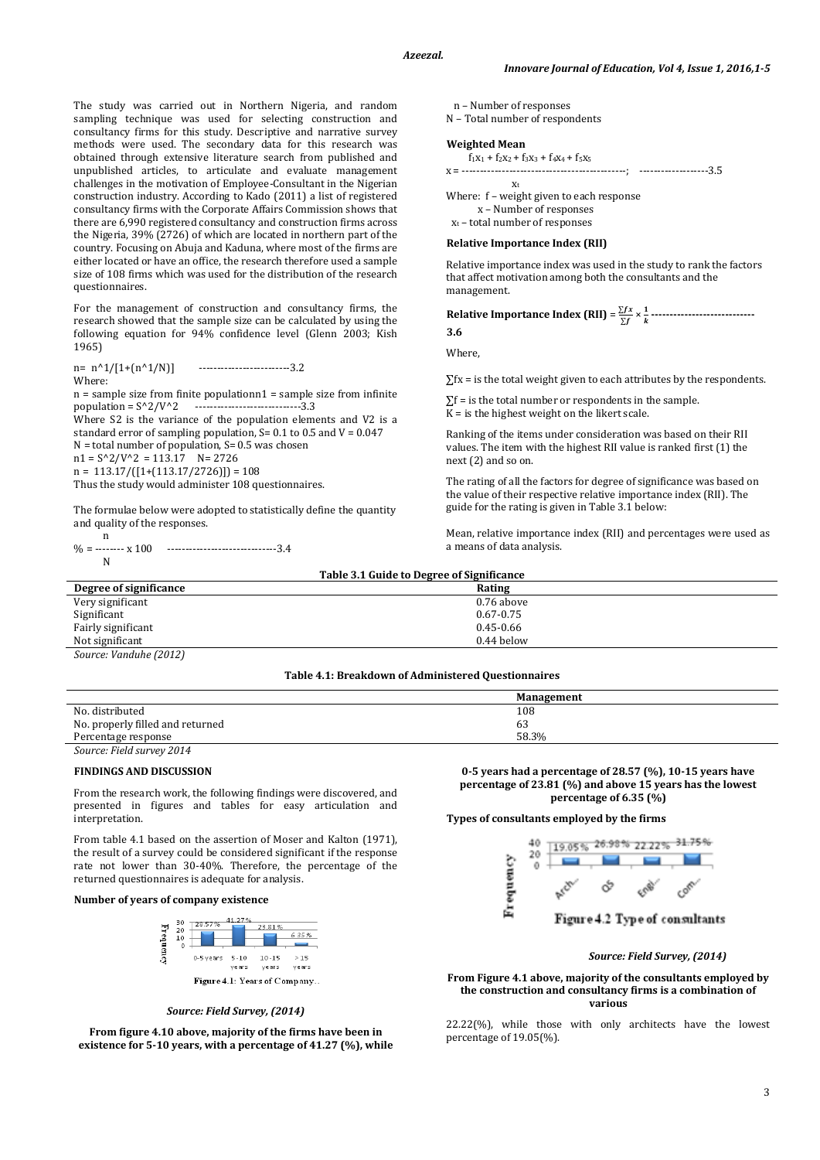The study was carried out in Northern Nigeria, and random sampling technique was used for selecting construction and consultancy firms for this study. Descriptive and narrative survey methods were used. The secondary data for this research was obtained through extensive literature search from published and unpublished articles, to articulate and evaluate management challenges in the motivation of Employee-Consultant in the Nigerian construction industry. According to Kado (2011) a list of registered consultancy firms with the Corporate Affairs Commission shows that there are 6,990 registered consultancy and construction firms across the Nigeria, 39% (2726) of which are located in northern part of the country. Focusing on Abuja and Kaduna, where most of the firms are either located or have an office, the research therefore used a sample size of 108 firms which was used for the distribution of the research questionnaires.

For the management of construction and consultancy firms, the research showed that the sample size can be calculated by using the following equation for 94% confidence level (Glenn 2003; Kish 1965)

 $n = n^21/[1+(n^21/N)]$  -------------------------3.2 Where:

 $n =$  sample size from finite populationn $1 =$  sample size from infinite population =  $S^2/V^2$  -------------------------------3.3 Where S2 is the variance of the population elements and V2 is a

standard error of sampling population,  $S = 0.1$  to 0.5 and  $V = 0.047$  $N =$  total number of population, S= 0.5 was chosen  $n1 = S^2/V^2 = 113.17$  N= 2726

 $n = 113.17/([1+(113.17/2726)]) = 108$ 

Thus the study would administer 108 questionnaires.

The formulae below were adopted to statistically define the quantity and quality of the responses.

 n % = -------- x 100 ------------------------------3.4 N

n – Number of responses

N – Total number of respondents

#### **Weighted Mean**

| $f_1x_1 + f_2x_2 + f_3x_3 + f_4x_4 + f_5x_5$ |                        |
|----------------------------------------------|------------------------|
| -----------------<br>$x =$                   | -------------------3.5 |
| x,                                           |                        |
| Where: f – weight given to each response     |                        |

 x – Number of responses  $x_t$  – total number of responses

#### **Relative Importance Index (RII)**

Relative importance index was used in the study to rank the factors that affect motivation among both the consultants and the management.

**Relative Importance Index (RII)** =  $\frac{\sum fx}{\sum f(x)}$  $\frac{\sum fx}{\sum f} \times \frac{1}{k}$ <u>+</u> -----------------------------<br>k **3.6**

Where,

 $\Sigma$ fx = is the total weight given to each attributes by the respondents.

 $\Sigma f$  = is the total number or respondents in the sample.  $K =$  is the highest weight on the likert scale.

Ranking of the items under consideration was based on their RII values. The item with the highest RII value is ranked first (1) the next (2) and so on.

The rating of all the factors for degree of significance was based on the value of their respective relative importance index (RII). The guide for the rating is given in Table 3.1 below:

Mean, relative importance index (RII) and percentages were used as a means of data analysis.

| Table 3.1 Guide to Degree of Significance |               |  |  |  |
|-------------------------------------------|---------------|--|--|--|
| Degree of significance                    | Rating        |  |  |  |
| Very significant                          | $0.76$ above  |  |  |  |
| Significant                               | $0.67 - 0.75$ |  |  |  |
| Fairly significant                        | $0.45 - 0.66$ |  |  |  |
| Not significant                           | 0.44 below    |  |  |  |
| Source: Vanduhe (2012)                    |               |  |  |  |

## **Table 4.1: Breakdown of Administered Questionnaires**

|                                  | Management |
|----------------------------------|------------|
| No. distributed                  | 108        |
| No. properly filled and returned | 63         |
| Percentage response              | 58.3%      |
| Source: Field survey 2014        |            |

#### **FINDINGS AND DISCUSSION**

From the research work, the following findings were discovered, and presented in figures and tables for easy articulation and interpretation.

From table 4.1 based on the assertion of Moser and Kalton (1971) the result of a survey could be considered significant if the response rate not lower than 30-40%. Therefore, the percentage of the returned questionnaires is adequate for analysis.

## **Number of years of company existence**



*Source: Field Survey, (2014)*

**From figure 4.10 above, majority of the firms have been in existence for 5-10 years, with a percentage of 41.27 (%), while** 

**0-5 years had a percentage of 28.57 (%), 10-15 years have percentage of 23.81 (%) and above 15 years has the lowest percentage of 6.35 (%)**

#### **Types of consultants employed by the firms**



#### *Source: Field Survey, (2014)*

#### **From Figure 4.1 above, majority of the consultants employed by the construction and consultancy firms is a combination of various**

22.22(%), while those with only architects have the lowest percentage of 19.05(%).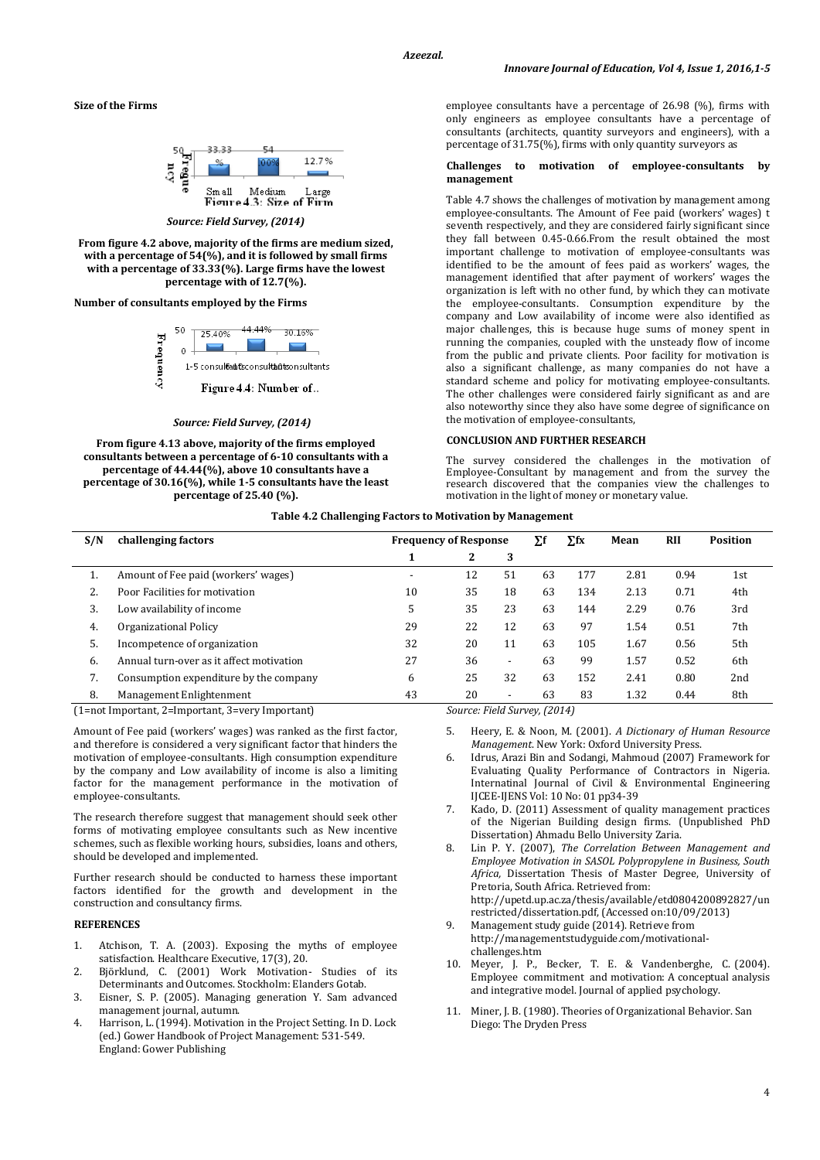**Size of the Firms**



*Source: Field Survey, (2014)*

**From figure 4.2 above, majority of the firms are medium sized, with a percentage of 54(%), and it is followed by small firms with a percentage of 33.33(%). Large firms have the lowest percentage with of 12.7(%).**

**Number of consultants employed by the Firms**



#### *Source: Field Survey, (2014)*

**From figure 4.13 above, majority of the firms employed consultants between a percentage of 6-10 consultants with a percentage of 44.44(%), above 10 consultants have a percentage of 30.16(%), while 1-5 consultants have the least percentage of 25.40 (%).**

employee consultants have a percentage of 26.98 (%), firms with only engineers as employee consultants have a percentage of consultants (architects, quantity surveyors and engineers), with a percentage of 31.75(%), firms with only quantity surveyors as

#### **Challenges to motivation of employee-consultants by management**

Table 4.7 shows the challenges of motivation by management among employee-consultants. The Amount of Fee paid (workers' wages) t seventh respectively, and they are considered fairly significant since they fall between 0.45-0.66.From the result obtained the most important challenge to motivation of employee-consultants was identified to be the amount of fees paid as workers' wages, the management identified that after payment of workers' wages the organization is left with no other fund, by which they can motivate the employee-consultants. Consumption expenditure by the company and Low availability of income were also identified as major challenges, this is because huge sums of money spent in running the companies, coupled with the unsteady flow of income from the public and private clients. Poor facility for motivation is also a significant challenge, as many companies do not have a standard scheme and policy for motivating employee-consultants. The other challenges were considered fairly significant as and are also noteworthy since they also have some degree of significance on the motivation of employee-consultants,

#### **CONCLUSION AND FURTHER RESEARCH**

The survey considered the challenges in the motivation of Employee-Consultant by management and from the survey the research discovered that the companies view the challenges to motivation in the light of money or monetary value.

#### **Table 4.2 Challenging Factors to Motivation by Management**

| S/N                                              | challenging factors                      | <b>Frequency of Response</b> |                              |                          | Σf | $\Sigma$ fx | Mean | <b>RII</b> | <b>Position</b> |
|--------------------------------------------------|------------------------------------------|------------------------------|------------------------------|--------------------------|----|-------------|------|------------|-----------------|
|                                                  |                                          |                              | 2                            | 3                        |    |             |      |            |                 |
| 1.                                               | Amount of Fee paid (workers' wages)      | $\overline{\phantom{a}}$     | 12                           | 51                       | 63 | 177         | 2.81 | 0.94       | 1st             |
| 2.                                               | Poor Facilities for motivation           | 10                           | 35                           | 18                       | 63 | 134         | 2.13 | 0.71       | 4th             |
| 3.                                               | Low availability of income               | 5                            | 35                           | 23                       | 63 | 144         | 2.29 | 0.76       | 3rd             |
| 4.                                               | Organizational Policy                    | 29                           | 22                           | 12                       | 63 | 97          | 1.54 | 0.51       | 7th             |
| 5.                                               | Incompetence of organization             | 32                           | 20                           | 11                       | 63 | 105         | 1.67 | 0.56       | 5th             |
| 6.                                               | Annual turn-over as it affect motivation | 27                           | 36                           | $\overline{\phantom{a}}$ | 63 | 99          | 1.57 | 0.52       | 6th             |
| 7.                                               | Consumption expenditure by the company   | 6                            | 25                           | 32                       | 63 | 152         | 2.41 | 0.80       | 2nd             |
| 8.                                               | Management Enlightenment                 | 43                           | 20                           | $\overline{\phantom{a}}$ | 63 | 83          | 1.32 | 0.44       | 8th             |
| (1=not Important, 2=Important, 3=very Important) |                                          |                              | Source: Field Survey, (2014) |                          |    |             |      |            |                 |

Amount of Fee paid (workers' wages) was ranked as the first factor, and therefore is considered a very significant factor that hinders the motivation of employee-consultants. High consumption expenditure by the company and Low availability of income is also a limiting factor for the management performance in the motivation of employee-consultants.

The research therefore suggest that management should seek other forms of motivating employee consultants such as New incentive schemes, such as flexible working hours, subsidies, loans and others, should be developed and implemented.

Further research should be conducted to harness these important factors identified for the growth and development in the construction and consultancy firms.

# **REFERENCES**

- 1. Atchison, T. A. (2003). Exposing the myths of employee satisfaction. Healthcare Executive, 17(3), 20.
- 2. Björklund, C. (2001) Work Motivation- Studies of its Determinants and Outcomes. Stockholm: Elanders Gotab.
- 3. Eisner, S. P. (2005). Managing generation Y. Sam advanced management journal, autumn.
- 4. Harrison, L. (1994). Motivation in the Project Setting. In D. Lock (ed.) Gower Handbook of Project Management: 531-549. England: Gower Publishing

- 5. Heery, E. & Noon, M. (2001). *A Dictionary of Human Resource Management*. New York: Oxford University Press.
- 6. Idrus, Arazi Bin and Sodangi, Mahmoud (2007) Framework for Evaluating Quality Performance of Contractors in Nigeria. Internatinal Journal of Civil & Environmental Engineering IJCEE-IJENS Vol: 10 No: 01 pp34-39
- Kado, D. (2011) Assessment of quality management practices of the Nigerian Building design firms. (Unpublished PhD Dissertation) Ahmadu Bello University Zaria.
- 8. Lin P. Y. (2007), *The Correlation Between Management and Employee Motivation in SASOL Polypropylene in Business, South Africa,* Dissertation Thesis of Master Degree, University of Pretoria, South Africa. Retrieved from: [http://upetd.up.ac.za/thesis/available/etd0804200892827/u](http://upetd.up.ac.za/thesis/available/etd0804200892827/)n restricted/dissertation.pdf, (Accessed on:10/09/2013)
- 9. Management study guide (2014). Retrieve from http://managementstudyguide.com/motivationalchallenges.htm
- 10. Meyer, J. P., Becker, T. E. & Vandenberghe, C. (2004). Employee commitment and motivation: A conceptual analysis and integrative model. Journal of applied psychology.
- 11. Miner, J. B. (1980). Theories of Organizational Behavior. San Diego: The Dryden Press